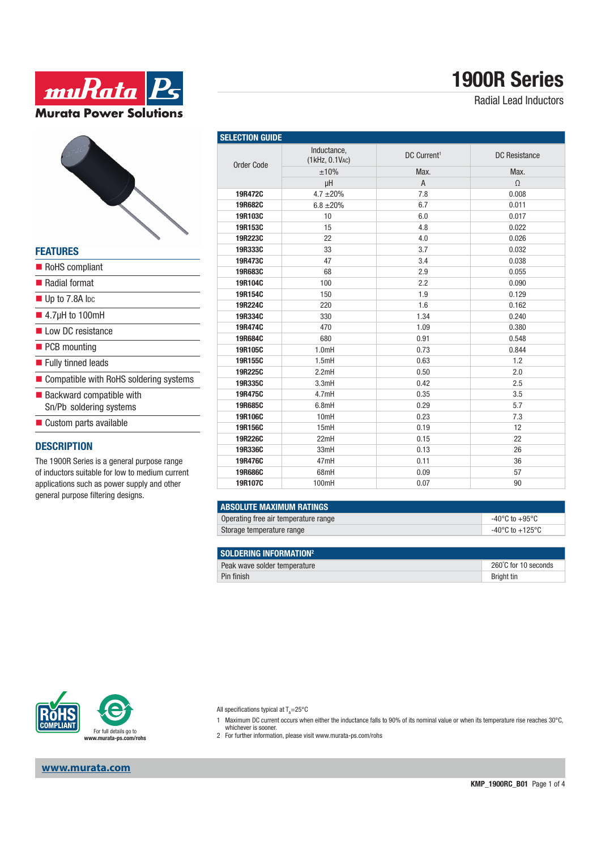

### **FEATURES**

- RoHS compliant
- Radial format
- Up to 7.8A lpc
- $\blacksquare$  4.7μH to 100mH
- Low DC resistance
- **PCB** mounting
- **Fully tinned leads**
- Compatible with RoHS soldering systems
- $\blacksquare$  Backward compatible with Sn/Pb soldering systems
- $\blacksquare$  Custom parts available

#### **DESCRIPTION**

The 1900R Series is a general purpose range of inductors suitable for low to medium current applications such as power supply and other general purpose filtering designs.

| <b>SELECTION GUIDE</b> |                               |                         |                      |
|------------------------|-------------------------------|-------------------------|----------------------|
| Order Code             | Inductance,<br>(1kHz, 0.1VAC) | DC Current <sup>1</sup> | <b>DC</b> Resistance |
|                        | ±10%                          | Max.                    | Max.                 |
|                        | μH                            | $\overline{A}$          | $\Omega$             |
| 19R472C                | $4.7 \pm 20\%$                | 7.8                     | 0.008                |
| 19R682C                | $6.8 \pm 20\%$                | 6.7                     | 0.011                |
| 19R103C                | 10                            | 6.0                     | 0.017                |
| 19R153C                | 15                            | 4.8                     | 0.022                |
| 19R223C                | 22                            | 4.0                     | 0.026                |
| 19R333C                | 33                            | 3.7                     | 0.032                |
| 19R473C                | 47                            | 3.4                     | 0.038                |
| 19R683C                | 68                            | 2.9                     | 0.055                |
| 19R104C                | 100                           | 2.2                     | 0.090                |
| 19R154C                | 150                           | 1.9                     | 0.129                |
| 19R224C                | 220                           | 1.6                     | 0.162                |
| 19R334C                | 330                           | 1.34                    | 0.240                |
| 19R474C                | 470                           | 1.09                    | 0.380                |
| 19R684C                | 680                           | 0.91                    | 0.548                |
| 19R105C                | 1.0mH                         | 0.73                    | 0.844                |
| 19R155C                | 1.5mH                         | 0.63                    | 1.2                  |
| 19R225C                | 2.2mH                         | 0.50                    | 2.0                  |
| 19R335C                | 3.3mH                         | 0.42                    | 2.5                  |
| 19R475C                | 4.7mH                         | 0.35                    | 3.5                  |
| 19R685C                | 6.8mH                         | 0.29                    | 5.7                  |
| 19R106C                | 10mH                          | 0.23                    | 7.3                  |
| 19R156C                | 15mH                          | 0.19                    | 12                   |
| 19R226C                | 22mH                          | 0.15                    | 22                   |
| 19R336C                | 33mH                          | 0.13                    | 26                   |
| 19R476C                | 47mH                          | 0.11                    | 36                   |
| 19R686C                | 68mH                          | 0.09                    | 57                   |
| 19R107C                | 100mH                         | 0.07                    | 90                   |

| <b>ABSOLUTE MAXIMUM RATINGS</b>      |                 |  |
|--------------------------------------|-----------------|--|
| Operating free air temperature range | -40°C to +95°C  |  |
| Storage temperature range            | -40°C to +125°C |  |

| SOLDERING INFORMATION <sup>2</sup> |                      |
|------------------------------------|----------------------|
| Peak wave solder temperature       | 260°C for 10 seconds |
| Pin finish                         | <b>Bright tin</b>    |



**www.murata.com**

All specifications typical at  $T_A = 25^{\circ}C$ 

- 1 Maximum DC current occurs when either the inductance falls to 90% of its nominal value or when its temperature rise reaches 30°C,
	- whichever is sooner.
- 2 For further information, please visit www.murata-ps.com/rohs

**1900R Series**

Radial Lead Inductors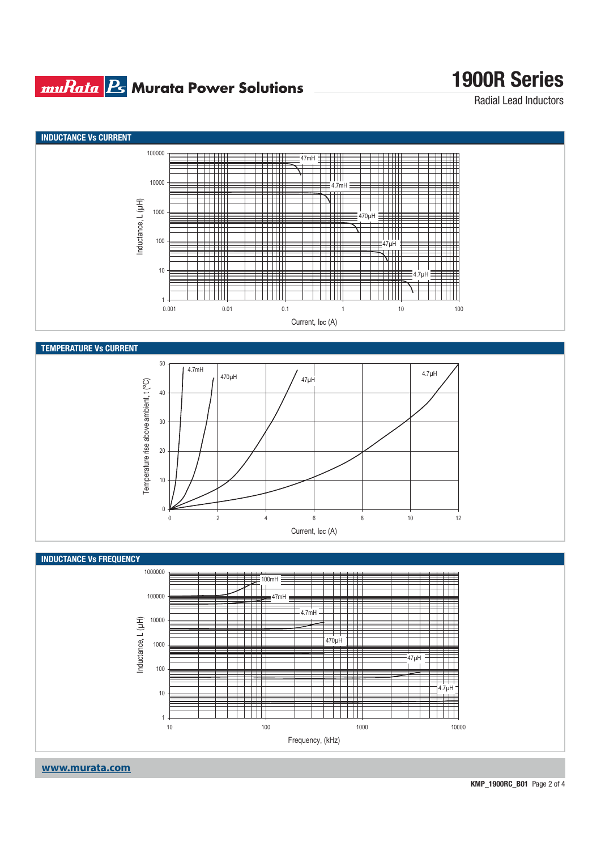### **muRata Ps** Murata Power Solutions

# **1900R Series**

Radial Lead Inductors



**www.murata.com**

**KMP\_1900RC\_B01** Page 2 of 4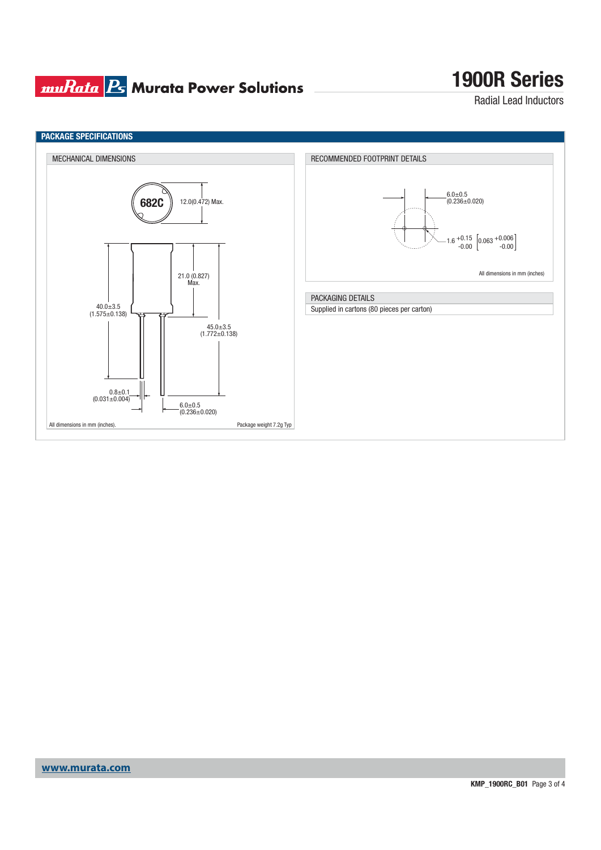## **muRata Ps** Murata Power Solutions

# **1900R Series**

Radial Lead Inductors